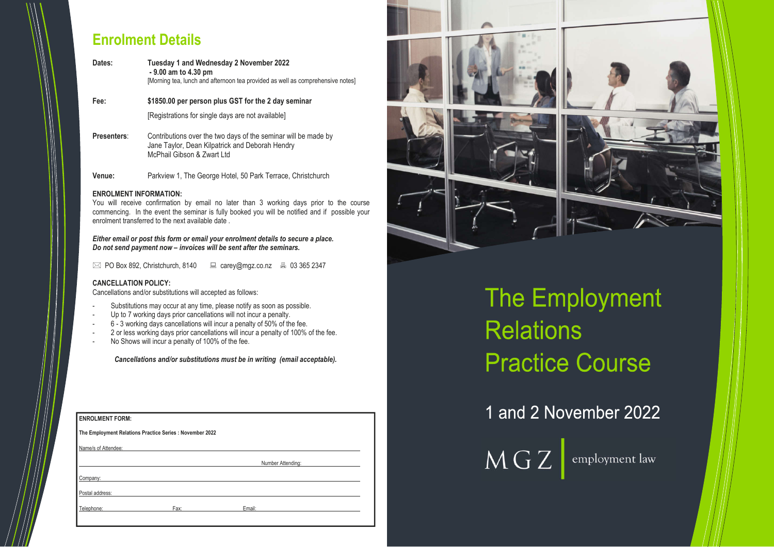## **Enrolment Details**

| Dates:             | <b>Tuesday 1 and Wednesday 2 November 2022</b><br>- 9.00 am to 4.30 pm<br>[Morning tea, lunch and afternoon tea provided as well as comprehensive notes] |  |
|--------------------|----------------------------------------------------------------------------------------------------------------------------------------------------------|--|
| Fee:               | \$1850.00 per person plus GST for the 2 day seminar<br>[Registrations for single days are not available]                                                 |  |
| <b>Presenters:</b> | Contributions over the two days of the seminar will be made by<br>Jane Taylor, Dean Kilpatrick and Deborah Hendry<br>McPhail Gibson & Zwart Ltd          |  |

**Venue:** Parkview 1, The George Hotel, 50 Park Terrace, Christchurch

### **ENROLMENT INFORMATION:**

You will receive confirmation by email no later than 3 working days prior to the course commencing. In the event the seminar is fully booked you will be notified and if possible your enrolment transferred to the next available date .

| <b>ENROLMENT FORM:</b> |                                                          |                   |  |
|------------------------|----------------------------------------------------------|-------------------|--|
|                        | The Employment Relations Practice Series : November 2022 |                   |  |
| Name/s of Attendee:    |                                                          |                   |  |
|                        |                                                          | Number Attending: |  |
| Company:               |                                                          |                   |  |
| Postal address:        |                                                          |                   |  |
| Telephone:             | Fax:                                                     | Email:            |  |
|                        |                                                          |                   |  |



# The Employment **Relations Practice Course**

1 and 2 November 2022

 $\overline{\text{MGZ}}$  employment law

*Either email or post this form or email your enrolment details to secure a place. Do not send payment now – invoices will be sent after the seminars.*

 $\boxtimes$  PO Box 892, Christchurch, 8140  $\Box$  carey@mgz.co.nz  $\Box$  03 365 2347

### **CANCELLATION POLICY:**

Cancellations and/or substitutions will accepted as follows:

- Substitutions may occur at any time, please notify as soon as possible.
- Up to 7 working days prior cancellations will not incur a penalty.
- 6 3 working days cancellations will incur a penalty of 50% of the fee.
- 2 or less working days prior cancellations will incur a penalty of 100% of the fee.
- No Shows will incur a penalty of 100% of the fee.

*Cancellations and/or substitutions must be in writing (email acceptable).*